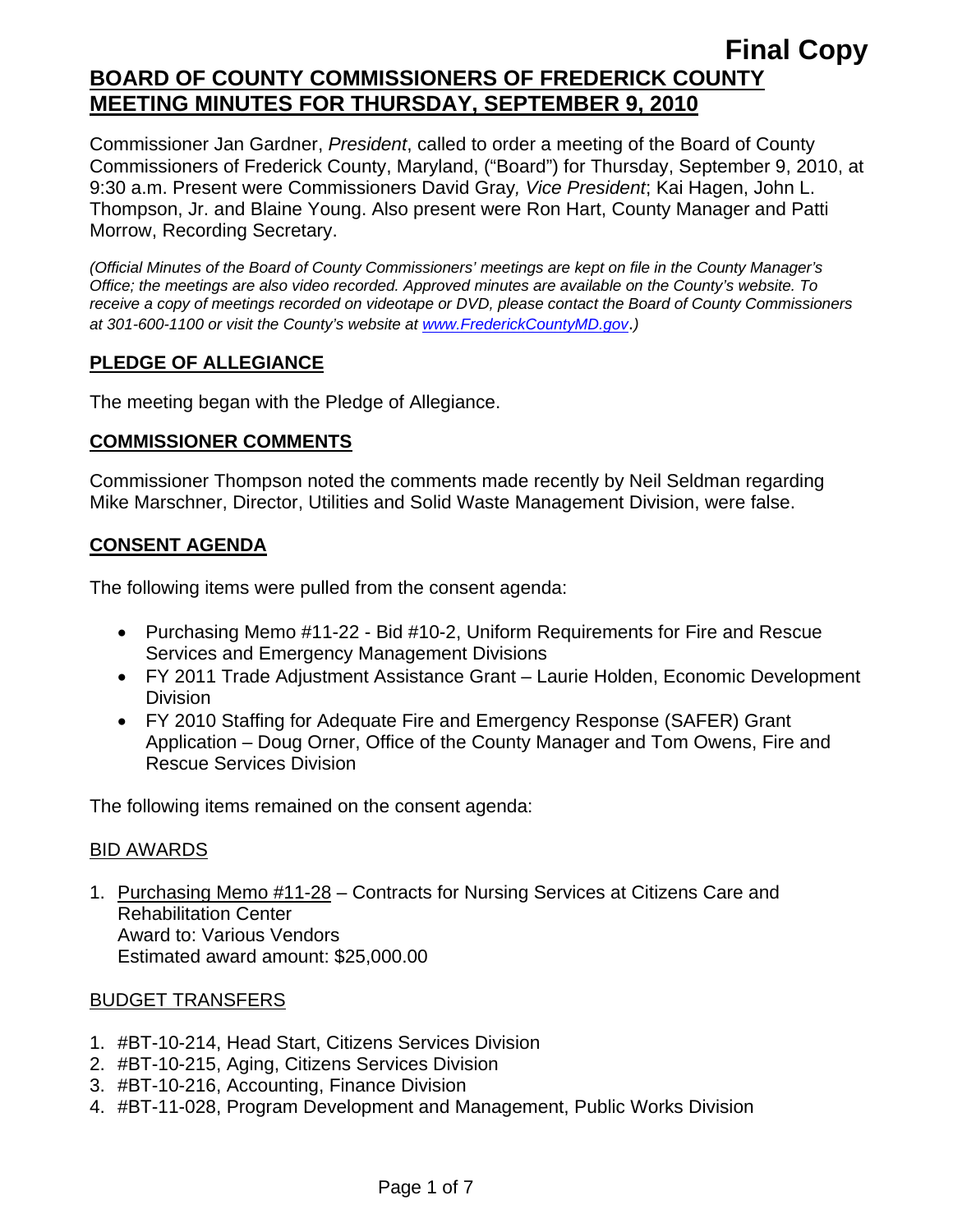Commissioner Jan Gardner, *President*, called to order a meeting of the Board of County Commissioners of Frederick County, Maryland, ("Board") for Thursday, September 9, 2010, at 9:30 a.m. Present were Commissioners David Gray*, Vice President*; Kai Hagen, John L. Thompson, Jr. and Blaine Young. Also present were Ron Hart, County Manager and Patti Morrow, Recording Secretary.

*(Official Minutes of the Board of County Commissioners' meetings are kept on file in the County Manager's Office; the meetings are also video recorded. Approved minutes are available on the County's website. To receive a copy of meetings recorded on videotape or DVD, please contact the Board of County Commissioners at 301-600-1100 or visit the County's website at [www.FrederickCountyMD.gov](http://www.frederickcountymd.gov/)*.*)* 

# **PLEDGE OF ALLEGIANCE**

The meeting began with the Pledge of Allegiance.

#### **COMMISSIONER COMMENTS**

Commissioner Thompson noted the comments made recently by Neil Seldman regarding Mike Marschner, Director, Utilities and Solid Waste Management Division, were false.

# **CONSENT AGENDA**

The following items were pulled from the consent agenda:

- Purchasing Memo #11-22 Bid #10-2, Uniform Requirements for Fire and Rescue Services and Emergency Management Divisions
- FY 2011 Trade Adjustment Assistance Grant Laurie Holden, Economic Development **Division**
- FY 2010 Staffing for Adequate Fire and Emergency Response (SAFER) Grant Application – Doug Orner, Office of the County Manager and Tom Owens, Fire and Rescue Services Division

The following items remained on the consent agenda:

## BID AWARDS

1. Purchasing Memo #11-28 – Contracts for Nursing Services at Citizens Care and Rehabilitation Center Award to: Various Vendors Estimated award amount: \$25,000.00

## BUDGET TRANSFERS

- 1. #BT-10-214, Head Start, Citizens Services Division
- 2. #BT-10-215, Aging, Citizens Services Division
- 3. #BT-10-216, Accounting, Finance Division
- 4. #BT-11-028, Program Development and Management, Public Works Division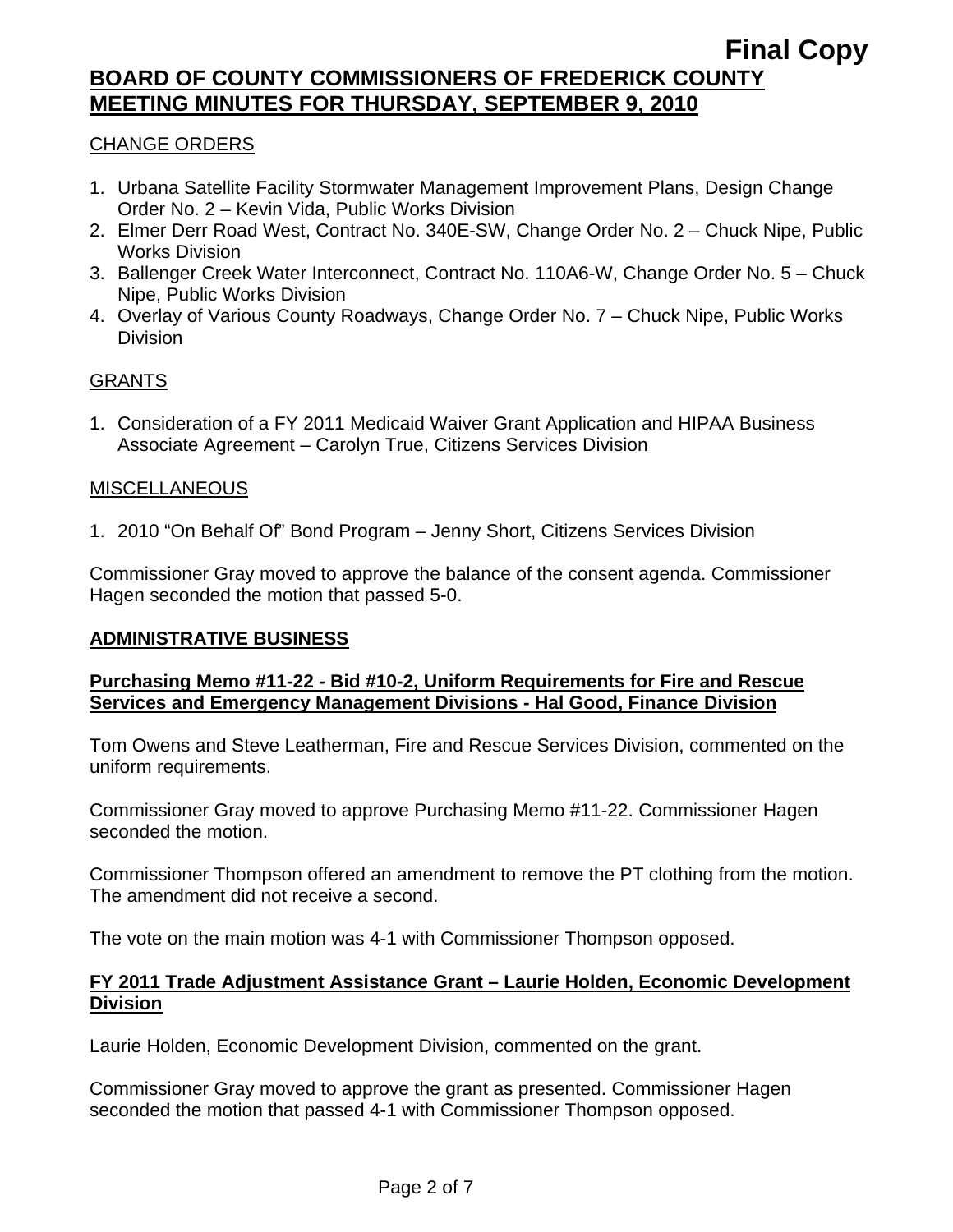# CHANGE ORDERS

- 1. Urbana Satellite Facility Stormwater Management Improvement Plans, Design Change Order No. 2 – Kevin Vida, Public Works Division
- 2. Elmer Derr Road West, Contract No. 340E-SW, Change Order No. 2 Chuck Nipe, Public Works Division
- 3. Ballenger Creek Water Interconnect, Contract No. 110A6-W, Change Order No. 5 Chuck Nipe, Public Works Division
- 4. Overlay of Various County Roadways, Change Order No. 7 Chuck Nipe, Public Works Division

## GRANTS

1. Consideration of a FY 2011 Medicaid Waiver Grant Application and HIPAA Business Associate Agreement – Carolyn True, Citizens Services Division

#### MISCELLANEOUS

1. 2010 "On Behalf Of" Bond Program – Jenny Short, Citizens Services Division

Commissioner Gray moved to approve the balance of the consent agenda. Commissioner Hagen seconded the motion that passed 5-0.

## **ADMINISTRATIVE BUSINESS**

#### **Purchasing Memo #11-22 - Bid #10-2, Uniform Requirements for Fire and Rescue Services and Emergency Management Divisions - Hal Good, Finance Division**

Tom Owens and Steve Leatherman, Fire and Rescue Services Division, commented on the uniform requirements.

Commissioner Gray moved to approve Purchasing Memo #11-22. Commissioner Hagen seconded the motion.

Commissioner Thompson offered an amendment to remove the PT clothing from the motion. The amendment did not receive a second.

The vote on the main motion was 4-1 with Commissioner Thompson opposed.

## **FY 2011 Trade Adjustment Assistance Grant – Laurie Holden, Economic Development Division**

Laurie Holden, Economic Development Division, commented on the grant.

Commissioner Gray moved to approve the grant as presented. Commissioner Hagen seconded the motion that passed 4-1 with Commissioner Thompson opposed.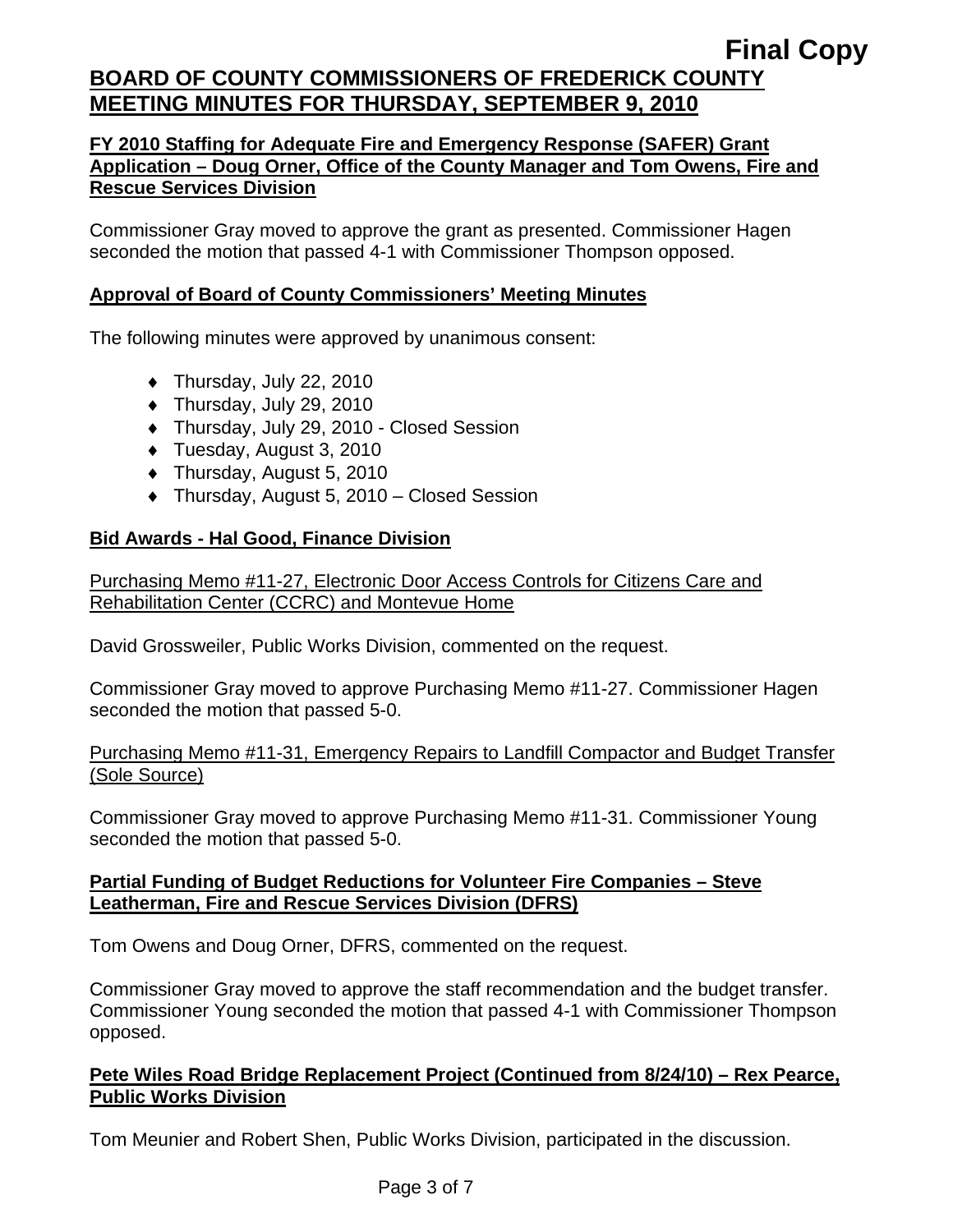## **FY 2010 Staffing for Adequate Fire and Emergency Response (SAFER) Grant Application – Doug Orner, Office of the County Manager and Tom Owens, Fire and Rescue Services Division**

Commissioner Gray moved to approve the grant as presented. Commissioner Hagen seconded the motion that passed 4-1 with Commissioner Thompson opposed.

# **Approval of Board of County Commissioners' Meeting Minutes**

The following minutes were approved by unanimous consent:

- $\blacklozenge$  Thursday, July 22, 2010
- ♦ Thursday, July 29, 2010
- ♦ Thursday, July 29, 2010 Closed Session
- ♦ Tuesday, August 3, 2010
- ♦ Thursday, August 5, 2010
- ♦ Thursday, August 5, 2010 Closed Session

# **Bid Awards - Hal Good, Finance Division**

Purchasing Memo #11-27, Electronic Door Access Controls for Citizens Care and Rehabilitation Center (CCRC) and Montevue Home

David Grossweiler, Public Works Division, commented on the request.

Commissioner Gray moved to approve Purchasing Memo #11-27. Commissioner Hagen seconded the motion that passed 5-0.

## Purchasing Memo #11-31, Emergency Repairs to Landfill Compactor and Budget Transfer (Sole Source)

Commissioner Gray moved to approve Purchasing Memo #11-31. Commissioner Young seconded the motion that passed 5-0.

## **Partial Funding of Budget Reductions for Volunteer Fire Companies – Steve Leatherman, Fire and Rescue Services Division (DFRS)**

Tom Owens and Doug Orner, DFRS, commented on the request.

Commissioner Gray moved to approve the staff recommendation and the budget transfer. Commissioner Young seconded the motion that passed 4-1 with Commissioner Thompson opposed.

# **Pete Wiles Road Bridge Replacement Project (Continued from 8/24/10) – Rex Pearce, Public Works Division**

Tom Meunier and Robert Shen, Public Works Division, participated in the discussion.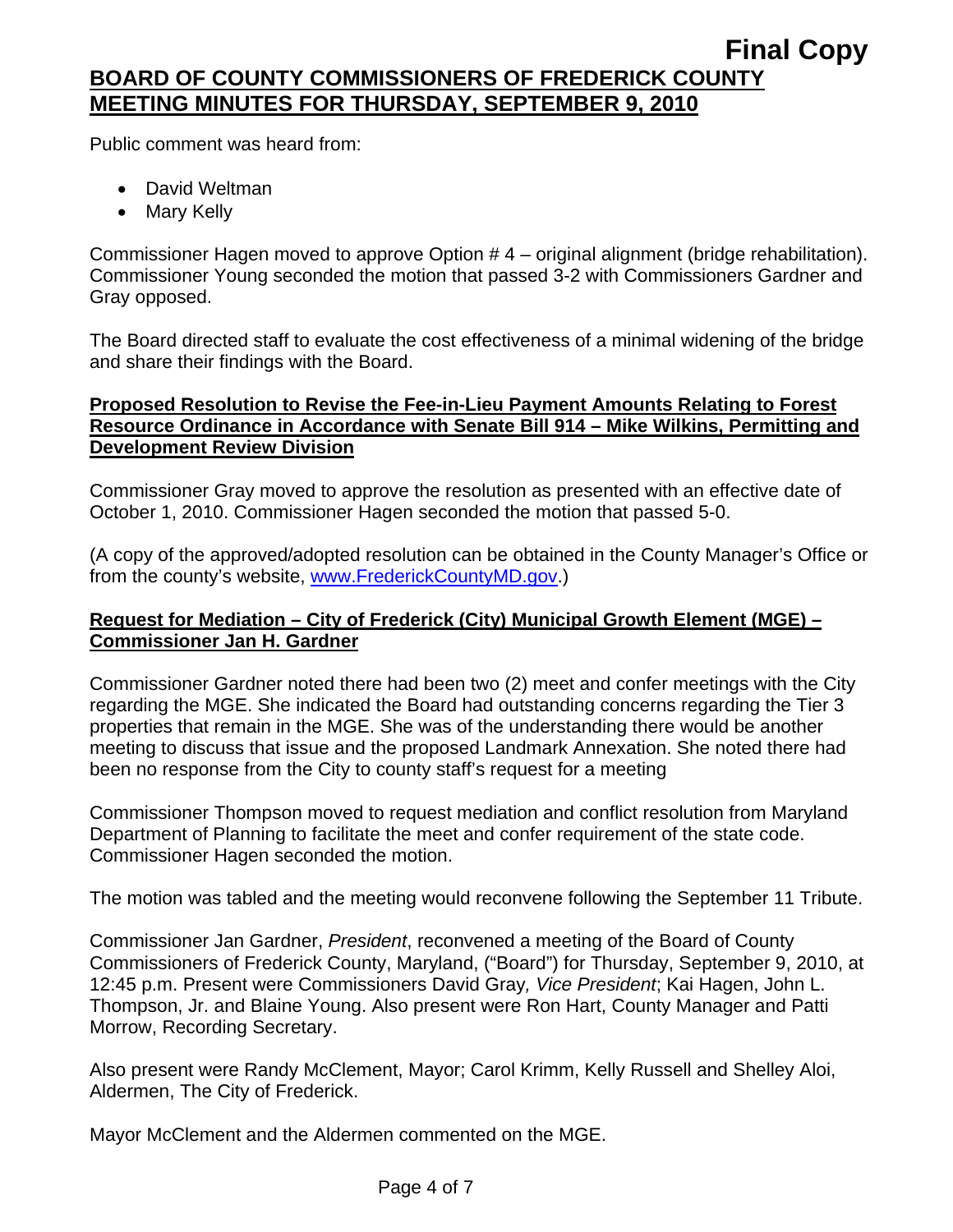Public comment was heard from:

- David Weltman
- Mary Kelly

Commissioner Hagen moved to approve Option # 4 – original alignment (bridge rehabilitation). Commissioner Young seconded the motion that passed 3-2 with Commissioners Gardner and Gray opposed.

The Board directed staff to evaluate the cost effectiveness of a minimal widening of the bridge and share their findings with the Board.

# **Proposed Resolution to Revise the Fee-in-Lieu Payment Amounts Relating to Forest Resource Ordinance in Accordance with Senate Bill 914 – Mike Wilkins, Permitting and Development Review Division**

Commissioner Gray moved to approve the resolution as presented with an effective date of October 1, 2010. Commissioner Hagen seconded the motion that passed 5-0.

(A copy of the approved/adopted resolution can be obtained in the County Manager's Office or from the county's website, [www.FrederickCountyMD.gov](http://www.frederickcountymd.gov/).)

# **Request for Mediation – City of Frederick (City) Municipal Growth Element (MGE) – Commissioner Jan H. Gardner**

Commissioner Gardner noted there had been two (2) meet and confer meetings with the City regarding the MGE. She indicated the Board had outstanding concerns regarding the Tier 3 properties that remain in the MGE. She was of the understanding there would be another meeting to discuss that issue and the proposed Landmark Annexation. She noted there had been no response from the City to county staff's request for a meeting

Commissioner Thompson moved to request mediation and conflict resolution from Maryland Department of Planning to facilitate the meet and confer requirement of the state code. Commissioner Hagen seconded the motion.

The motion was tabled and the meeting would reconvene following the September 11 Tribute.

Commissioner Jan Gardner, *President*, reconvened a meeting of the Board of County Commissioners of Frederick County, Maryland, ("Board") for Thursday, September 9, 2010, at 12:45 p.m. Present were Commissioners David Gray*, Vice President*; Kai Hagen, John L. Thompson, Jr. and Blaine Young. Also present were Ron Hart, County Manager and Patti Morrow, Recording Secretary.

Also present were Randy McClement, Mayor; Carol Krimm, Kelly Russell and Shelley Aloi, Aldermen, The City of Frederick.

Mayor McClement and the Aldermen commented on the MGE.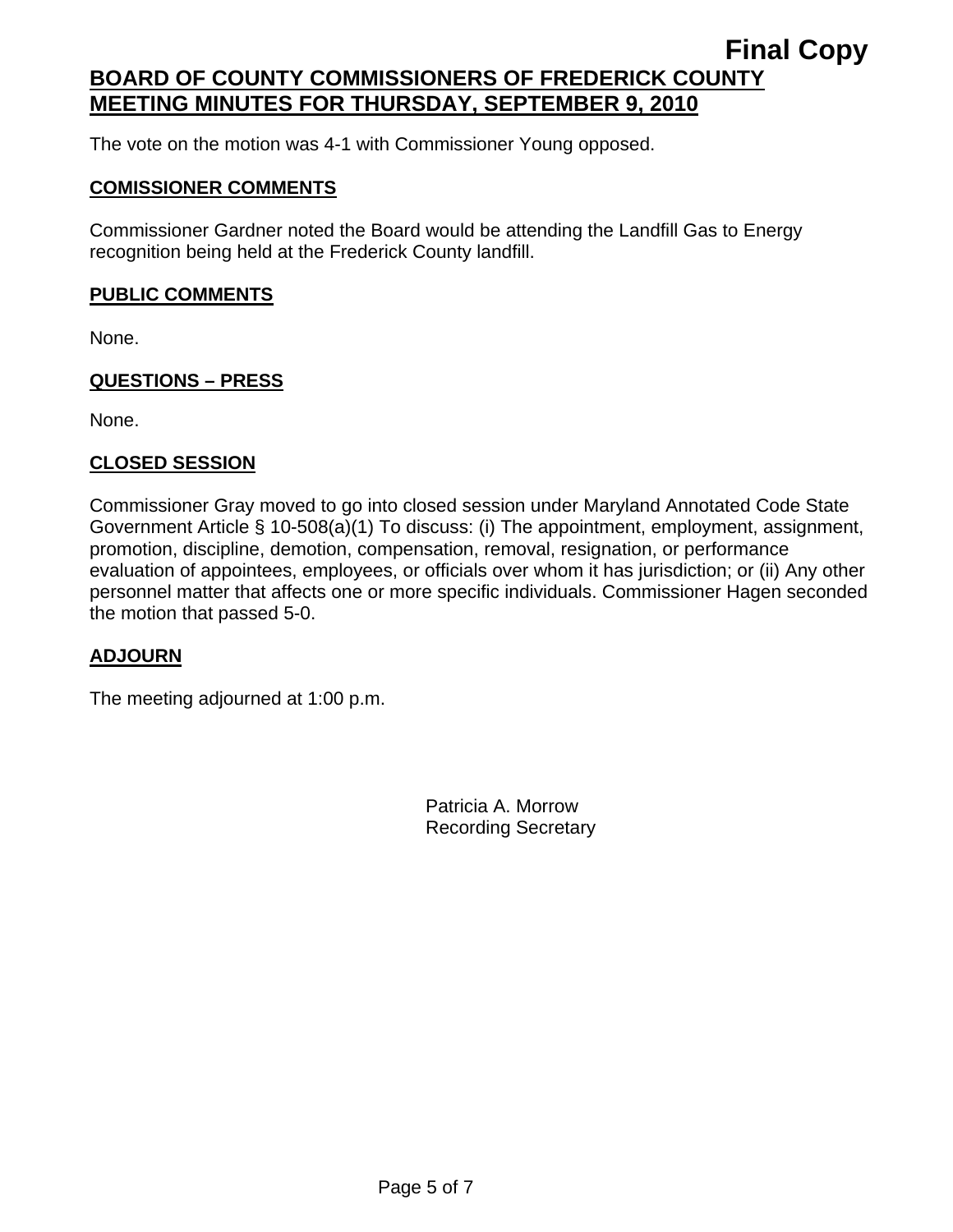The vote on the motion was 4-1 with Commissioner Young opposed.

#### **COMISSIONER COMMENTS**

Commissioner Gardner noted the Board would be attending the Landfill Gas to Energy recognition being held at the Frederick County landfill.

## **PUBLIC COMMENTS**

None.

#### **QUESTIONS – PRESS**

None.

#### **CLOSED SESSION**

Commissioner Gray moved to go into closed session under Maryland Annotated Code State Government Article § 10-508(a)(1) To discuss: (i) The appointment, employment, assignment, promotion, discipline, demotion, compensation, removal, resignation, or performance evaluation of appointees, employees, or officials over whom it has jurisdiction; or (ii) Any other personnel matter that affects one or more specific individuals. Commissioner Hagen seconded the motion that passed 5-0.

#### **ADJOURN**

The meeting adjourned at 1:00 p.m.

Patricia A. Morrow Recording Secretary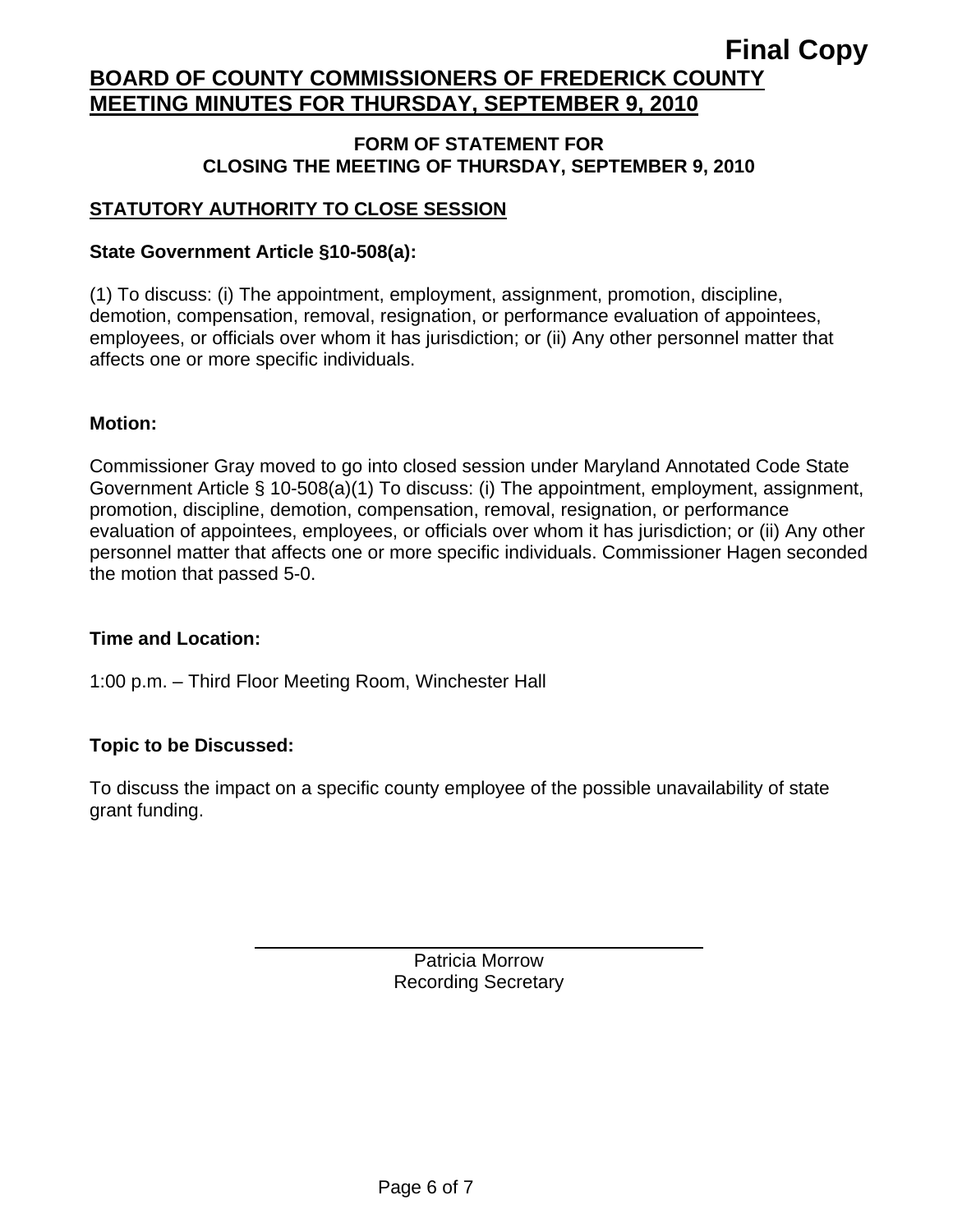#### **FORM OF STATEMENT FOR CLOSING THE MEETING OF THURSDAY, SEPTEMBER 9, 2010**

# **STATUTORY AUTHORITY TO CLOSE SESSION**

## **State Government Article §10-508(a):**

(1) To discuss: (i) The appointment, employment, assignment, promotion, discipline, demotion, compensation, removal, resignation, or performance evaluation of appointees, employees, or officials over whom it has jurisdiction; or (ii) Any other personnel matter that affects one or more specific individuals.

## **Motion:**

Commissioner Gray moved to go into closed session under Maryland Annotated Code State Government Article § 10-508(a)(1) To discuss: (i) The appointment, employment, assignment, promotion, discipline, demotion, compensation, removal, resignation, or performance evaluation of appointees, employees, or officials over whom it has jurisdiction; or (ii) Any other personnel matter that affects one or more specific individuals. Commissioner Hagen seconded the motion that passed 5-0.

## **Time and Location:**

1:00 p.m. – Third Floor Meeting Room, Winchester Hall

## **Topic to be Discussed:**

 $\overline{a}$ 

To discuss the impact on a specific county employee of the possible unavailability of state grant funding.

> Patricia Morrow Recording Secretary